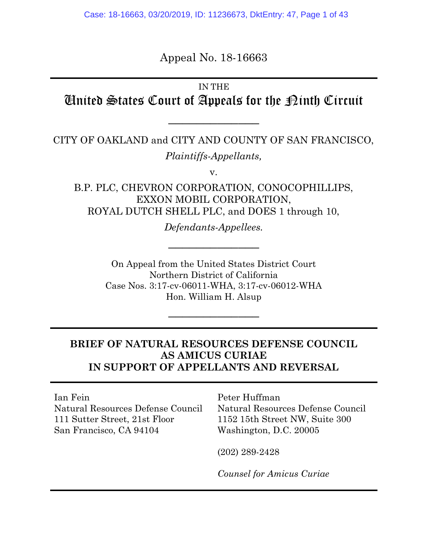Appeal No. 18-16663

# IN THE United States Court of Appeals for the Ninth Circuit

\_\_\_\_\_\_\_\_\_\_\_\_\_

CITY OF OAKLAND and CITY AND COUNTY OF SAN FRANCISCO, Plaintiffs-Appellants,

v.

B.P. PLC, CHEVRON CORPORATION, CONOCOPHILLIPS, EXXON MOBIL CORPORATION, ROYAL DUTCH SHELL PLC, and DOES 1 through 10,

Defendants-Appellees.

\_\_\_\_\_\_\_\_\_\_\_\_\_

On Appeal from the United States District Court Northern District of California Case Nos. 3:17-cv-06011-WHA, 3:17-cv-06012-WHA Hon. William H. Alsup

\_\_\_\_\_\_\_\_\_\_\_\_\_

# BRIEF OF NATURAL RESOURCES DEFENSE COUNCIL AS AMICUS CURIAE IN SUPPORT OF APPELLANTS AND REVERSAL

Ian Fein Natural Resources Defense Council 111 Sutter Street, 21st Floor San Francisco, CA 94104

Peter Huffman Natural Resources Defense Council 1152 15th Street NW, Suite 300 Washington, D.C. 20005

(202) 289-2428

Counsel for Amicus Curiae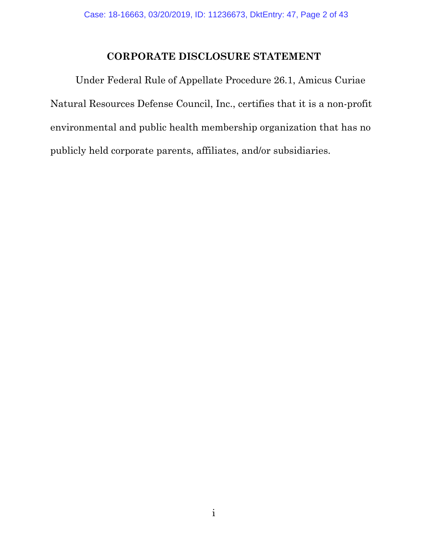# CORPORATE DISCLOSURE STATEMENT

 Under Federal Rule of Appellate Procedure 26.1, Amicus Curiae Natural Resources Defense Council, Inc., certifies that it is a non-profit environmental and public health membership organization that has no publicly held corporate parents, affiliates, and/or subsidiaries.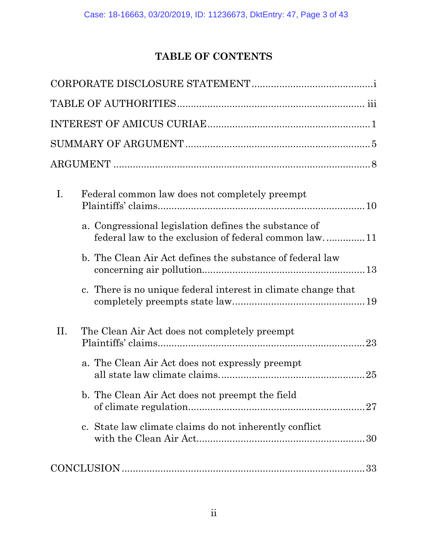# TABLE OF CONTENTS

| I.<br>Federal common law does not completely preempt<br>a. Congressional legislation defines the substance of |
|---------------------------------------------------------------------------------------------------------------|
| federal law to the exclusion of federal common law11                                                          |
| b. The Clean Air Act defines the substance of federal law                                                     |
| c. There is no unique federal interest in climate change that                                                 |
| II.<br>The Clean Air Act does not completely preempt                                                          |
| a. The Clean Air Act does not expressly preempt                                                               |
| b. The Clean Air Act does not preempt the field                                                               |
| c. State law climate claims do not inherently conflict                                                        |
|                                                                                                               |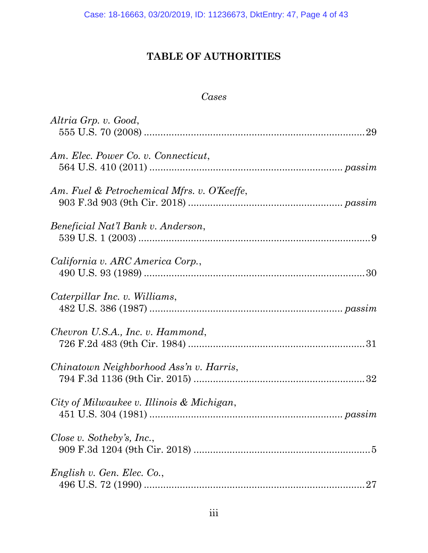# TABLE OF AUTHORITIES

### Cases

| Altria Grp. v. Good,                        |
|---------------------------------------------|
| Am. Elec. Power Co. v. Connecticut,         |
| Am. Fuel & Petrochemical Mfrs. v. O'Keeffe, |
| Beneficial Nat'l Bank v. Anderson,          |
| California v. ARC America Corp.,            |
| Caterpillar Inc. v. Williams,               |
| Chevron U.S.A., Inc. v. Hammond,            |
| Chinatown Neighborhood Ass'n v. Harris,     |
| City of Milwaukee v. Illinois & Michigan,   |
| Close v. Sotheby's, Inc.,                   |
| English v. Gen. Elec. Co.,<br>27            |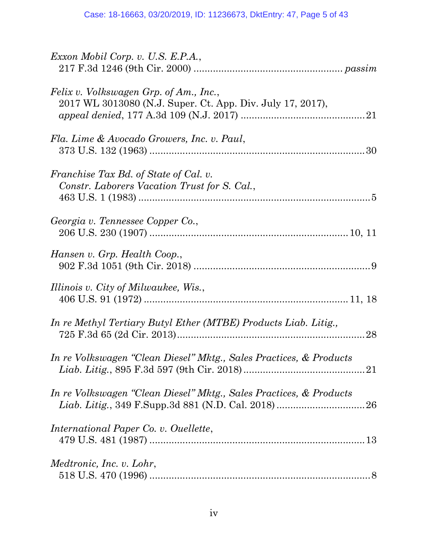| Exxon Mobil Corp. v. U.S. E.P.A.,                                                                    |
|------------------------------------------------------------------------------------------------------|
| Felix v. Volkswagen Grp. of Am., Inc.,<br>2017 WL 3013080 (N.J. Super. Ct. App. Div. July 17, 2017), |
| Fla. Lime & Avocado Growers, Inc. v. Paul,                                                           |
| Franchise Tax Bd. of State of Cal. v.<br>Constr. Laborers Vacation Trust for S. Cal.,                |
| Georgia v. Tennessee Copper Co.,                                                                     |
| Hansen v. Grp. Health Coop.,                                                                         |
| Illinois v. City of Milwaukee, Wis.,                                                                 |
| In re Methyl Tertiary Butyl Ether (MTBE) Products Liab. Litig.,                                      |
| In re Volkswagen "Clean Diesel" Mktg., Sales Practices, & Products                                   |
| In re Volkswagen "Clean Diesel" Mktg., Sales Practices, & Products                                   |
| International Paper Co. v. Ouellette,                                                                |
| <i>Medtronic, Inc. v. Lohr,</i>                                                                      |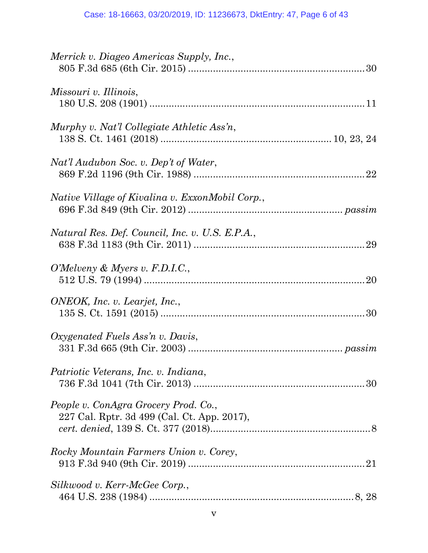| Merrick v. Diageo Americas Supply, Inc.,                                            |
|-------------------------------------------------------------------------------------|
| Missouri v. Illinois,                                                               |
| Murphy v. Nat'l Collegiate Athletic Ass'n,                                          |
| Nat'l Audubon Soc. v. Dep't of Water,                                               |
| <i>Native Village of Kivalina v. ExxonMobil Corp.,</i>                              |
| Natural Res. Def. Council, Inc. v. U.S. E.P.A.,                                     |
| O'Melveny & Myers v. F.D.I.C.,                                                      |
| ONEOK, Inc. v. Learjet, Inc.,                                                       |
| Oxygenated Fuels Ass'n v. Davis,                                                    |
| Patriotic Veterans, Inc. v. Indiana,                                                |
| People v. ConAgra Grocery Prod. Co.,<br>227 Cal. Rptr. 3d 499 (Cal. Ct. App. 2017), |
| Rocky Mountain Farmers Union v. Corey,                                              |
| Silkwood v. Kerr-McGee Corp.,                                                       |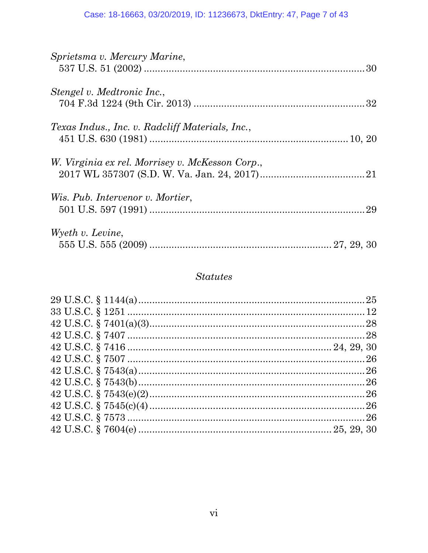| Sprietsma v. Mercury Marine,                    |  |
|-------------------------------------------------|--|
| Stengel v. Medtronic Inc.,                      |  |
|                                                 |  |
| Texas Indus., Inc. v. Radcliff Materials, Inc., |  |
| W. Virginia ex rel. Morrisey v. McKesson Corp., |  |
|                                                 |  |
| Wis. Pub. Intervenor v. Mortier,                |  |
|                                                 |  |
| Wyeth v. Levine,                                |  |
|                                                 |  |

# **Statutes**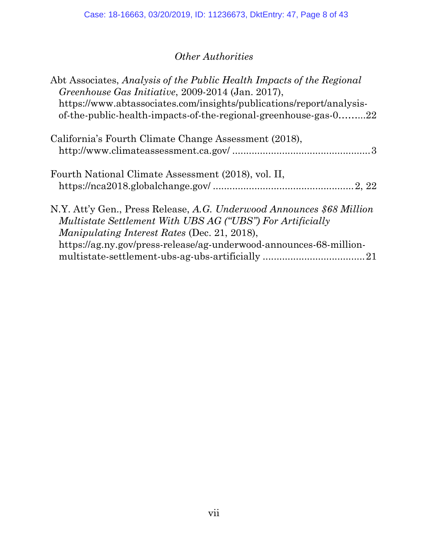# Other Authorities

| Abt Associates, Analysis of the Public Health Impacts of the Regional<br>Greenhouse Gas Initiative, 2009-2014 (Jan. 2017),<br>https://www.abtassociates.com/insights/publications/report/analysis-<br>of-the-public-health-impacts-of-the-regional-greenhouse-gas-022   |
|-------------------------------------------------------------------------------------------------------------------------------------------------------------------------------------------------------------------------------------------------------------------------|
| California's Fourth Climate Change Assessment (2018),                                                                                                                                                                                                                   |
| Fourth National Climate Assessment (2018), vol. II,                                                                                                                                                                                                                     |
| N.Y. Att'y Gen., Press Release, A.G. Underwood Announces \$68 Million<br><i>Multistate Settlement With UBS AG ("UBS") For Artificially</i><br><i>Manipulating Interest Rates (Dec. 21, 2018),</i><br>https://ag.ny.gov/press-release/ag-underwood-announces-68-million- |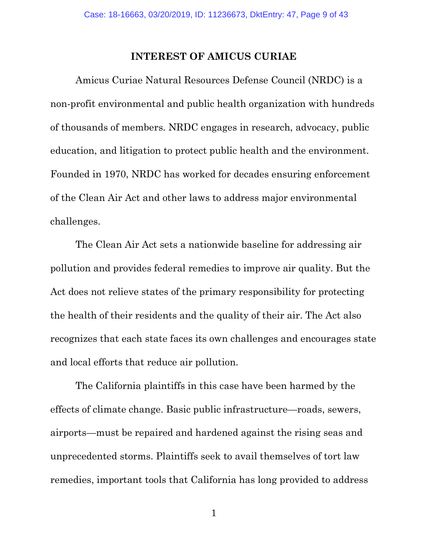### INTEREST OF AMICUS CURIAE

Amicus Curiae Natural Resources Defense Council (NRDC) is a non-profit environmental and public health organization with hundreds of thousands of members. NRDC engages in research, advocacy, public education, and litigation to protect public health and the environment. Founded in 1970, NRDC has worked for decades ensuring enforcement of the Clean Air Act and other laws to address major environmental challenges.

The Clean Air Act sets a nationwide baseline for addressing air pollution and provides federal remedies to improve air quality. But the Act does not relieve states of the primary responsibility for protecting the health of their residents and the quality of their air. The Act also recognizes that each state faces its own challenges and encourages state and local efforts that reduce air pollution.

The California plaintiffs in this case have been harmed by the effects of climate change. Basic public infrastructure—roads, sewers, airports—must be repaired and hardened against the rising seas and unprecedented storms. Plaintiffs seek to avail themselves of tort law remedies, important tools that California has long provided to address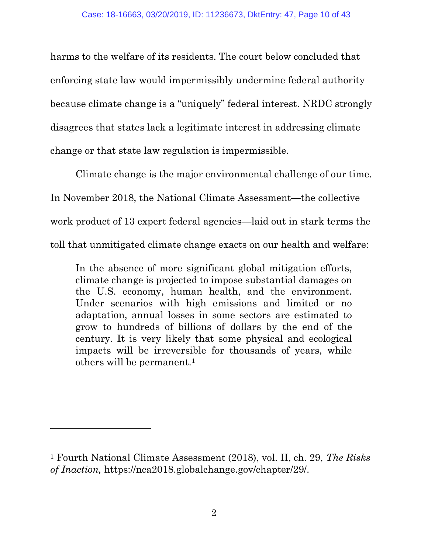harms to the welfare of its residents. The court below concluded that enforcing state law would impermissibly undermine federal authority because climate change is a "uniquely" federal interest. NRDC strongly disagrees that states lack a legitimate interest in addressing climate change or that state law regulation is impermissible.

Climate change is the major environmental challenge of our time. In November 2018, the National Climate Assessment—the collective work product of 13 expert federal agencies—laid out in stark terms the toll that unmitigated climate change exacts on our health and welfare:

In the absence of more significant global mitigation efforts, climate change is projected to impose substantial damages on the U.S. economy, human health, and the environment. Under scenarios with high emissions and limited or no adaptation, annual losses in some sectors are estimated to grow to hundreds of billions of dollars by the end of the century. It is very likely that some physical and ecological impacts will be irreversible for thousands of years, while others will be permanent.<sup>1</sup>

<sup>&</sup>lt;sup>1</sup> Fourth National Climate Assessment (2018), vol. II, ch. 29, *The Risks* of Inaction, https://nca2018.globalchange.gov/chapter/29/.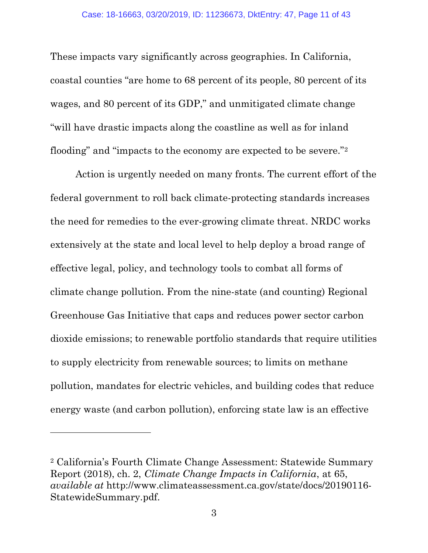These impacts vary significantly across geographies. In California, coastal counties "are home to 68 percent of its people, 80 percent of its wages, and 80 percent of its GDP," and unmitigated climate change "will have drastic impacts along the coastline as well as for inland flooding" and "impacts to the economy are expected to be severe."<sup>2</sup>

Action is urgently needed on many fronts. The current effort of the federal government to roll back climate-protecting standards increases the need for remedies to the ever-growing climate threat. NRDC works extensively at the state and local level to help deploy a broad range of effective legal, policy, and technology tools to combat all forms of climate change pollution. From the nine-state (and counting) Regional Greenhouse Gas Initiative that caps and reduces power sector carbon dioxide emissions; to renewable portfolio standards that require utilities to supply electricity from renewable sources; to limits on methane pollution, mandates for electric vehicles, and building codes that reduce energy waste (and carbon pollution), enforcing state law is an effective

<sup>2</sup> California's Fourth Climate Change Assessment: Statewide Summary Report (2018), ch. 2, Climate Change Impacts in California, at 65, available at http://www.climateassessment.ca.gov/state/docs/20190116- StatewideSummary.pdf.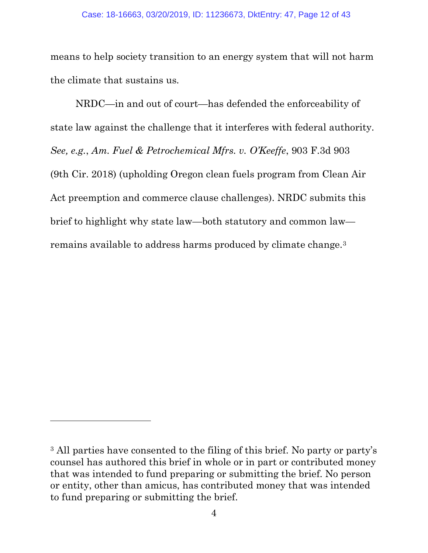means to help society transition to an energy system that will not harm the climate that sustains us.

NRDC—in and out of court—has defended the enforceability of state law against the challenge that it interferes with federal authority. See, e.g., Am. Fuel & Petrochemical Mfrs. v. O'Keeffe, 903 F.3d 903 (9th Cir. 2018) (upholding Oregon clean fuels program from Clean Air Act preemption and commerce clause challenges). NRDC submits this brief to highlight why state law—both statutory and common law remains available to address harms produced by climate change.<sup>3</sup>

<sup>3</sup> All parties have consented to the filing of this brief. No party or party's counsel has authored this brief in whole or in part or contributed money that was intended to fund preparing or submitting the brief. No person or entity, other than amicus, has contributed money that was intended to fund preparing or submitting the brief.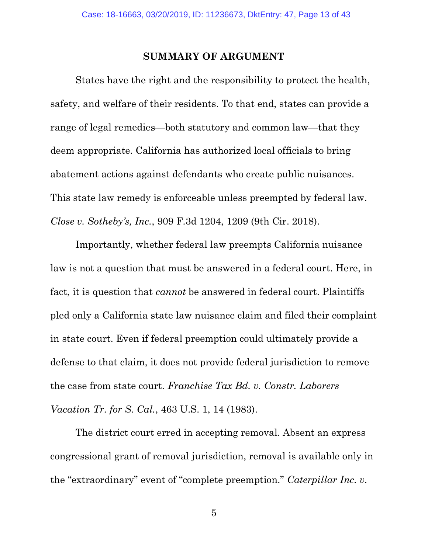#### SUMMARY OF ARGUMENT

States have the right and the responsibility to protect the health, safety, and welfare of their residents. To that end, states can provide a range of legal remedies—both statutory and common law—that they deem appropriate. California has authorized local officials to bring abatement actions against defendants who create public nuisances. This state law remedy is enforceable unless preempted by federal law. Close v. Sotheby's, Inc., 909 F.3d 1204, 1209 (9th Cir. 2018).

 Importantly, whether federal law preempts California nuisance law is not a question that must be answered in a federal court. Here, in fact, it is question that cannot be answered in federal court. Plaintiffs pled only a California state law nuisance claim and filed their complaint in state court. Even if federal preemption could ultimately provide a defense to that claim, it does not provide federal jurisdiction to remove the case from state court. Franchise Tax Bd. v. Constr. Laborers Vacation Tr. for S. Cal., 463 U.S. 1, 14 (1983).

 The district court erred in accepting removal. Absent an express congressional grant of removal jurisdiction, removal is available only in the "extraordinary" event of "complete preemption." Caterpillar Inc. v.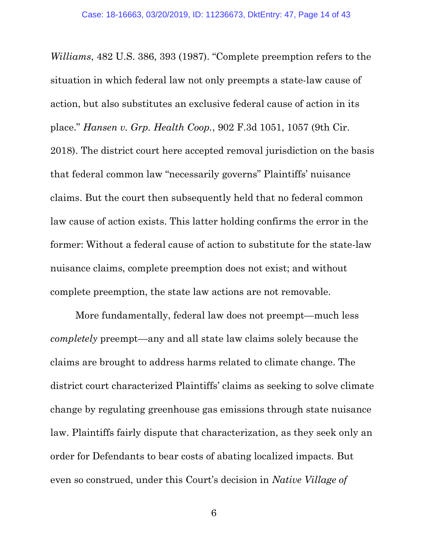Williams, 482 U.S. 386, 393 (1987). "Complete preemption refers to the situation in which federal law not only preempts a state-law cause of action, but also substitutes an exclusive federal cause of action in its place." Hansen v. Grp. Health Coop., 902 F.3d 1051, 1057 (9th Cir. 2018). The district court here accepted removal jurisdiction on the basis that federal common law "necessarily governs" Plaintiffs' nuisance claims. But the court then subsequently held that no federal common law cause of action exists. This latter holding confirms the error in the former: Without a federal cause of action to substitute for the state-law nuisance claims, complete preemption does not exist; and without complete preemption, the state law actions are not removable.

More fundamentally, federal law does not preempt—much less completely preempt—any and all state law claims solely because the claims are brought to address harms related to climate change. The district court characterized Plaintiffs' claims as seeking to solve climate change by regulating greenhouse gas emissions through state nuisance law. Plaintiffs fairly dispute that characterization, as they seek only an order for Defendants to bear costs of abating localized impacts. But even so construed, under this Court's decision in Native Village of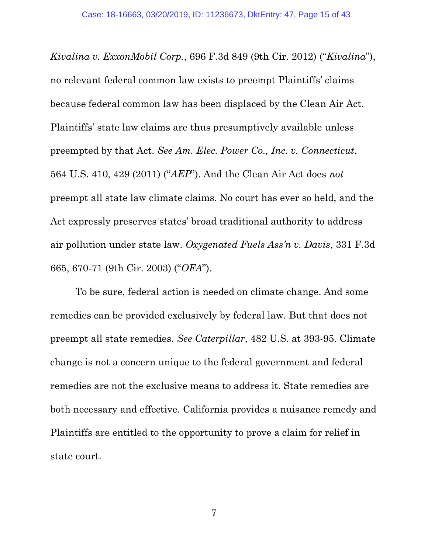Kivalina v. ExxonMobil Corp., 696 F.3d 849 (9th Cir. 2012) ("Kivalina"), no relevant federal common law exists to preempt Plaintiffs' claims because federal common law has been displaced by the Clean Air Act. Plaintiffs' state law claims are thus presumptively available unless preempted by that Act. See Am. Elec. Power Co., Inc. v. Connecticut, 564 U.S. 410, 429 (2011) ("AEP"). And the Clean Air Act does not preempt all state law climate claims. No court has ever so held, and the Act expressly preserves states' broad traditional authority to address air pollution under state law. Oxygenated Fuels Ass'n v. Davis, 331 F.3d 665, 670-71 (9th Cir. 2003) ("OFA").

To be sure, federal action is needed on climate change. And some remedies can be provided exclusively by federal law. But that does not preempt all state remedies. See Caterpillar, 482 U.S. at 393-95. Climate change is not a concern unique to the federal government and federal remedies are not the exclusive means to address it. State remedies are both necessary and effective. California provides a nuisance remedy and Plaintiffs are entitled to the opportunity to prove a claim for relief in state court.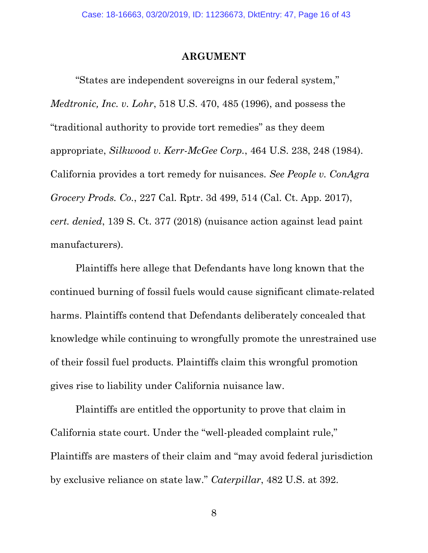#### ARGUMENT

"States are independent sovereigns in our federal system," Medtronic, Inc. v. Lohr, 518 U.S. 470, 485 (1996), and possess the "traditional authority to provide tort remedies" as they deem appropriate, Silkwood v. Kerr-McGee Corp., 464 U.S. 238, 248 (1984). California provides a tort remedy for nuisances. See People v. ConAgra Grocery Prods. Co., 227 Cal. Rptr. 3d 499, 514 (Cal. Ct. App. 2017), cert. denied, 139 S. Ct. 377 (2018) (nuisance action against lead paint manufacturers).

Plaintiffs here allege that Defendants have long known that the continued burning of fossil fuels would cause significant climate-related harms. Plaintiffs contend that Defendants deliberately concealed that knowledge while continuing to wrongfully promote the unrestrained use of their fossil fuel products. Plaintiffs claim this wrongful promotion gives rise to liability under California nuisance law.

Plaintiffs are entitled the opportunity to prove that claim in California state court. Under the "well-pleaded complaint rule," Plaintiffs are masters of their claim and "may avoid federal jurisdiction by exclusive reliance on state law." Caterpillar, 482 U.S. at 392.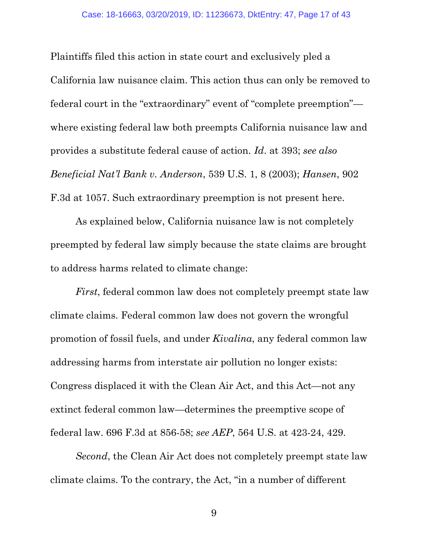Plaintiffs filed this action in state court and exclusively pled a California law nuisance claim. This action thus can only be removed to federal court in the "extraordinary" event of "complete preemption" where existing federal law both preempts California nuisance law and provides a substitute federal cause of action. Id. at 393; see also Beneficial Nat'l Bank v. Anderson, 539 U.S. 1, 8 (2003); Hansen, 902 F.3d at 1057. Such extraordinary preemption is not present here.

As explained below, California nuisance law is not completely preempted by federal law simply because the state claims are brought to address harms related to climate change:

First, federal common law does not completely preempt state law climate claims. Federal common law does not govern the wrongful promotion of fossil fuels, and under Kivalina, any federal common law addressing harms from interstate air pollution no longer exists: Congress displaced it with the Clean Air Act, and this Act—not any extinct federal common law—determines the preemptive scope of federal law. 696 F.3d at 856-58; see AEP, 564 U.S. at 423-24, 429.

Second, the Clean Air Act does not completely preempt state law climate claims. To the contrary, the Act, "in a number of different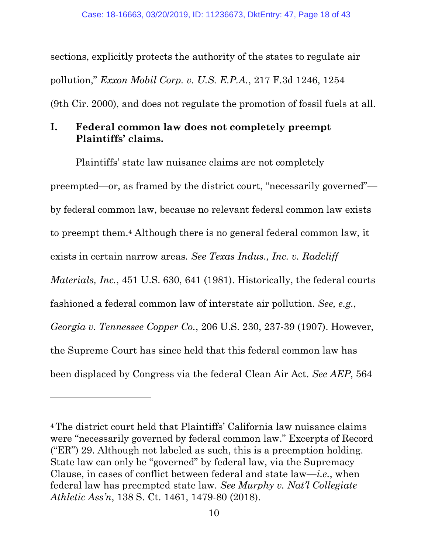sections, explicitly protects the authority of the states to regulate air pollution," Exxon Mobil Corp. v. U.S. E.P.A., 217 F.3d 1246, 1254 (9th Cir. 2000), and does not regulate the promotion of fossil fuels at all.

# I. Federal common law does not completely preempt Plaintiffs' claims.

Plaintiffs' state law nuisance claims are not completely preempted—or, as framed by the district court, "necessarily governed" by federal common law, because no relevant federal common law exists to preempt them.4 Although there is no general federal common law, it exists in certain narrow areas. See Texas Indus., Inc. v. Radcliff Materials, Inc., 451 U.S. 630, 641 (1981). Historically, the federal courts fashioned a federal common law of interstate air pollution. See, e.g., Georgia v. Tennessee Copper Co., 206 U.S. 230, 237-39 (1907). However, the Supreme Court has since held that this federal common law has been displaced by Congress via the federal Clean Air Act. See AEP, 564

-

<sup>4</sup>The district court held that Plaintiffs' California law nuisance claims were "necessarily governed by federal common law." Excerpts of Record ("ER") 29. Although not labeled as such, this is a preemption holding. State law can only be "governed" by federal law, via the Supremacy Clause, in cases of conflict between federal and state  $law$ —*i.e.*, when federal law has preempted state law. See Murphy v. Nat'l Collegiate Athletic Ass'n, 138 S. Ct. 1461, 1479-80 (2018).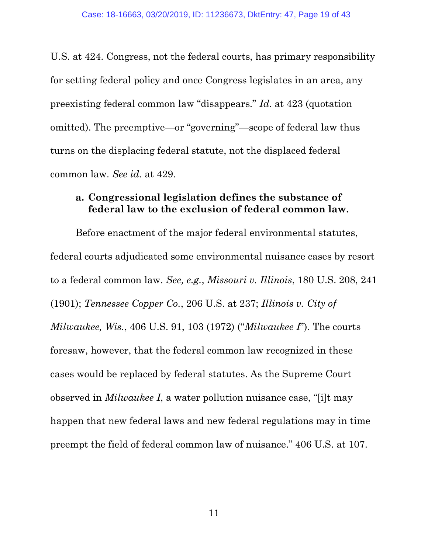U.S. at 424. Congress, not the federal courts, has primary responsibility for setting federal policy and once Congress legislates in an area, any preexisting federal common law "disappears." Id. at 423 (quotation omitted). The preemptive—or "governing"—scope of federal law thus turns on the displacing federal statute, not the displaced federal common law. See id. at 429.

### a. Congressional legislation defines the substance of federal law to the exclusion of federal common law.

Before enactment of the major federal environmental statutes, federal courts adjudicated some environmental nuisance cases by resort to a federal common law. See, e.g., Missouri v. Illinois, 180 U.S. 208, 241 (1901); Tennessee Copper Co., 206 U.S. at 237; Illinois v. City of Milwaukee, Wis., 406 U.S. 91, 103 (1972) ("Milwaukee I"). The courts foresaw, however, that the federal common law recognized in these cases would be replaced by federal statutes. As the Supreme Court observed in Milwaukee I, a water pollution nuisance case, "[i]t may happen that new federal laws and new federal regulations may in time preempt the field of federal common law of nuisance." 406 U.S. at 107.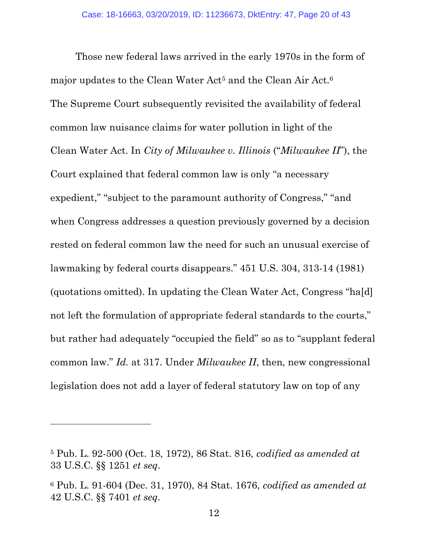Those new federal laws arrived in the early 1970s in the form of major updates to the Clean Water Act<sup>5</sup> and the Clean Air Act.<sup>6</sup> The Supreme Court subsequently revisited the availability of federal common law nuisance claims for water pollution in light of the Clean Water Act. In City of Milwaukee v. Illinois ("Milwaukee II"), the Court explained that federal common law is only "a necessary expedient," "subject to the paramount authority of Congress," "and when Congress addresses a question previously governed by a decision rested on federal common law the need for such an unusual exercise of lawmaking by federal courts disappears." 451 U.S. 304, 313-14 (1981) (quotations omitted). In updating the Clean Water Act, Congress "ha[d] not left the formulation of appropriate federal standards to the courts," but rather had adequately "occupied the field" so as to "supplant federal common law." Id. at 317. Under Milwaukee II, then, new congressional legislation does not add a layer of federal statutory law on top of any

<sup>5</sup> Pub. L. 92-500 (Oct. 18, 1972), 86 Stat. 816, codified as amended at 33 U.S.C. §§ 1251 et seq.

<sup>6</sup> Pub. L. 91-604 (Dec. 31, 1970), 84 Stat. 1676, codified as amended at 42 U.S.C. §§ 7401 et seq.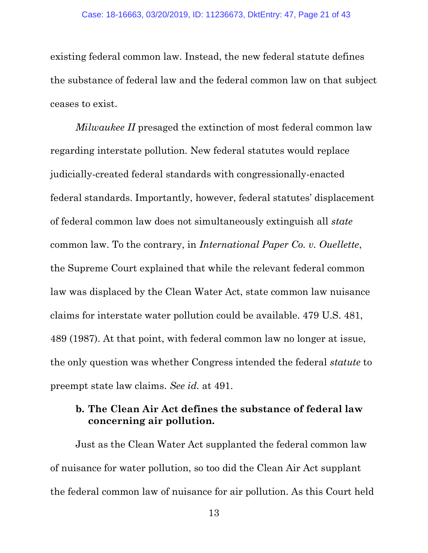existing federal common law. Instead, the new federal statute defines the substance of federal law and the federal common law on that subject ceases to exist.

Milwaukee II presaged the extinction of most federal common law regarding interstate pollution. New federal statutes would replace judicially-created federal standards with congressionally-enacted federal standards. Importantly, however, federal statutes' displacement of federal common law does not simultaneously extinguish all state common law. To the contrary, in International Paper Co. v. Ouellette, the Supreme Court explained that while the relevant federal common law was displaced by the Clean Water Act, state common law nuisance claims for interstate water pollution could be available. 479 U.S. 481, 489 (1987). At that point, with federal common law no longer at issue, the only question was whether Congress intended the federal statute to preempt state law claims. See id. at 491.

### b. The Clean Air Act defines the substance of federal law concerning air pollution.

Just as the Clean Water Act supplanted the federal common law of nuisance for water pollution, so too did the Clean Air Act supplant the federal common law of nuisance for air pollution. As this Court held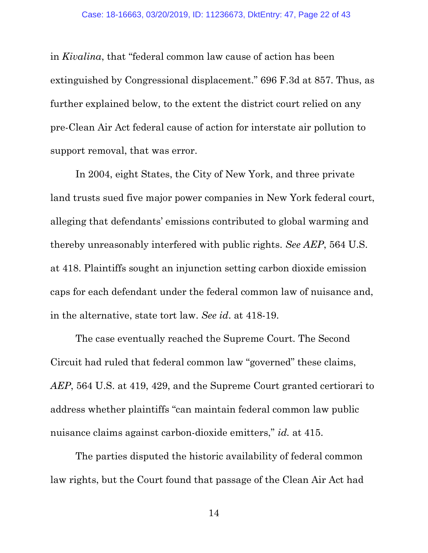in Kivalina, that "federal common law cause of action has been extinguished by Congressional displacement." 696 F.3d at 857. Thus, as further explained below, to the extent the district court relied on any pre-Clean Air Act federal cause of action for interstate air pollution to support removal, that was error.

In 2004, eight States, the City of New York, and three private land trusts sued five major power companies in New York federal court, alleging that defendants' emissions contributed to global warming and thereby unreasonably interfered with public rights. See AEP, 564 U.S. at 418. Plaintiffs sought an injunction setting carbon dioxide emission caps for each defendant under the federal common law of nuisance and, in the alternative, state tort law. See id. at 418-19.

The case eventually reached the Supreme Court. The Second Circuit had ruled that federal common law "governed" these claims, AEP, 564 U.S. at 419, 429, and the Supreme Court granted certiorari to address whether plaintiffs "can maintain federal common law public nuisance claims against carbon-dioxide emitters," id. at 415.

The parties disputed the historic availability of federal common law rights, but the Court found that passage of the Clean Air Act had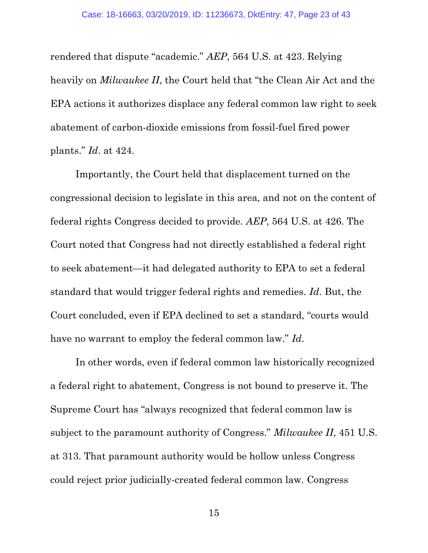rendered that dispute "academic." AEP, 564 U.S. at 423. Relying heavily on *Milwaukee II*, the Court held that "the Clean Air Act and the EPA actions it authorizes displace any federal common law right to seek abatement of carbon-dioxide emissions from fossil-fuel fired power plants." Id. at 424.

Importantly, the Court held that displacement turned on the congressional decision to legislate in this area, and not on the content of federal rights Congress decided to provide. AEP, 564 U.S. at 426. The Court noted that Congress had not directly established a federal right to seek abatement—it had delegated authority to EPA to set a federal standard that would trigger federal rights and remedies. Id. But, the Court concluded, even if EPA declined to set a standard, "courts would have no warrant to employ the federal common law." Id.

In other words, even if federal common law historically recognized a federal right to abatement, Congress is not bound to preserve it. The Supreme Court has "always recognized that federal common law is subject to the paramount authority of Congress." Milwaukee II, 451 U.S. at 313. That paramount authority would be hollow unless Congress could reject prior judicially-created federal common law. Congress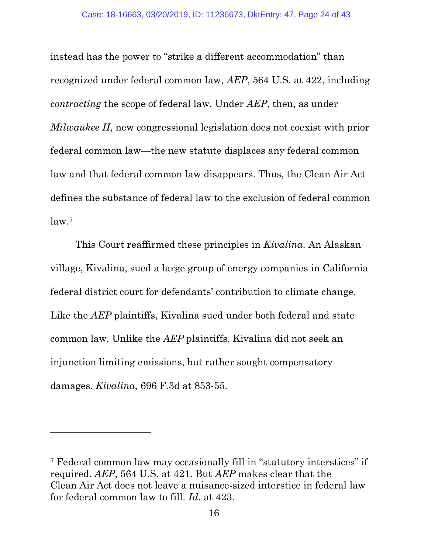instead has the power to "strike a different accommodation" than recognized under federal common law, AEP, 564 U.S. at 422, including contracting the scope of federal law. Under AEP, then, as under Milwaukee II, new congressional legislation does not coexist with prior federal common law—the new statute displaces any federal common law and that federal common law disappears. Thus, the Clean Air Act defines the substance of federal law to the exclusion of federal common law.<sup>7</sup>

This Court reaffirmed these principles in Kivalina. An Alaskan village, Kivalina, sued a large group of energy companies in California federal district court for defendants' contribution to climate change. Like the *AEP* plaintiffs, Kivalina sued under both federal and state common law. Unlike the AEP plaintiffs, Kivalina did not seek an injunction limiting emissions, but rather sought compensatory damages. Kivalina, 696 F.3d at 853-55.

<sup>7</sup> Federal common law may occasionally fill in "statutory interstices" if required. AEP, 564 U.S. at 421. But AEP makes clear that the Clean Air Act does not leave a nuisance-sized interstice in federal law for federal common law to fill. Id. at 423.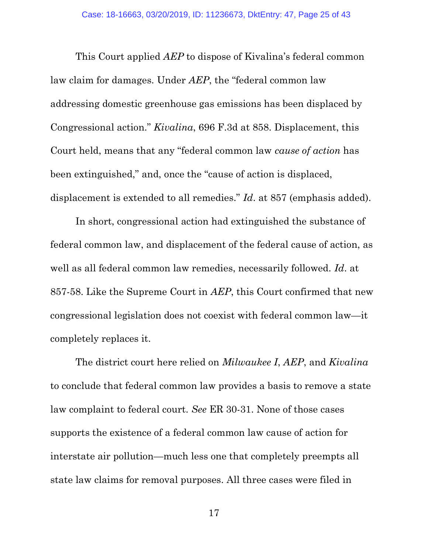This Court applied AEP to dispose of Kivalina's federal common law claim for damages. Under AEP, the "federal common law addressing domestic greenhouse gas emissions has been displaced by Congressional action." Kivalina, 696 F.3d at 858. Displacement, this Court held, means that any "federal common law cause of action has been extinguished," and, once the "cause of action is displaced, displacement is extended to all remedies." Id. at 857 (emphasis added).

In short, congressional action had extinguished the substance of federal common law, and displacement of the federal cause of action, as well as all federal common law remedies, necessarily followed. Id. at 857-58. Like the Supreme Court in AEP, this Court confirmed that new congressional legislation does not coexist with federal common law—it completely replaces it.

The district court here relied on *Milwaukee I, AEP*, and *Kivalina* to conclude that federal common law provides a basis to remove a state law complaint to federal court. See ER 30-31. None of those cases supports the existence of a federal common law cause of action for interstate air pollution—much less one that completely preempts all state law claims for removal purposes. All three cases were filed in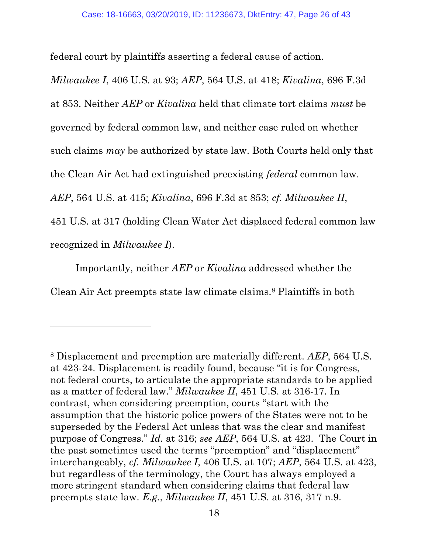federal court by plaintiffs asserting a federal cause of action.

Milwaukee I, 406 U.S. at 93; AEP, 564 U.S. at 418; Kivalina, 696 F.3d at 853. Neither AEP or Kivalina held that climate tort claims must be governed by federal common law, and neither case ruled on whether such claims may be authorized by state law. Both Courts held only that the Clean Air Act had extinguished preexisting federal common law. AEP, 564 U.S. at 415; Kivalina, 696 F.3d at 853; cf. Milwaukee II, 451 U.S. at 317 (holding Clean Water Act displaced federal common law recognized in Milwaukee I).

Importantly, neither AEP or Kivalina addressed whether the Clean Air Act preempts state law climate claims.8 Plaintiffs in both

<sup>8</sup> Displacement and preemption are materially different. AEP, 564 U.S. at 423-24. Displacement is readily found, because "it is for Congress, not federal courts, to articulate the appropriate standards to be applied as a matter of federal law." Milwaukee II, 451 U.S. at 316-17. In contrast, when considering preemption, courts "start with the assumption that the historic police powers of the States were not to be superseded by the Federal Act unless that was the clear and manifest purpose of Congress." Id. at 316; see AEP, 564 U.S. at 423. The Court in the past sometimes used the terms "preemption" and "displacement" interchangeably, cf. Milwaukee I, 406 U.S. at 107; AEP, 564 U.S. at 423, but regardless of the terminology, the Court has always employed a more stringent standard when considering claims that federal law preempts state law. E.g., Milwaukee II, 451 U.S. at 316, 317 n.9.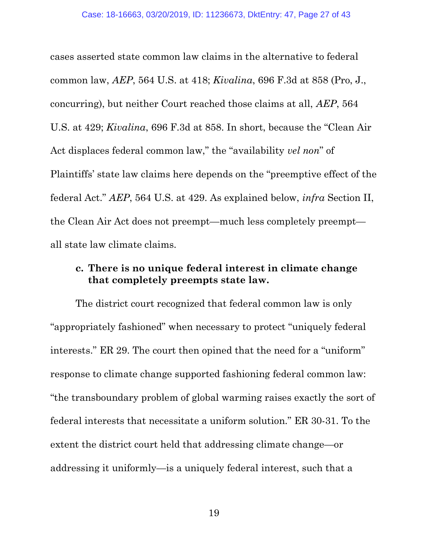cases asserted state common law claims in the alternative to federal common law, AEP, 564 U.S. at 418; Kivalina, 696 F.3d at 858 (Pro, J., concurring), but neither Court reached those claims at all, AEP, 564 U.S. at 429; Kivalina, 696 F.3d at 858. In short, because the "Clean Air Act displaces federal common law," the "availability vel non" of Plaintiffs' state law claims here depends on the "preemptive effect of the federal Act." AEP, 564 U.S. at 429. As explained below, infra Section II, the Clean Air Act does not preempt—much less completely preempt all state law climate claims.

# c. There is no unique federal interest in climate change that completely preempts state law.

The district court recognized that federal common law is only "appropriately fashioned" when necessary to protect "uniquely federal interests." ER 29. The court then opined that the need for a "uniform" response to climate change supported fashioning federal common law: "the transboundary problem of global warming raises exactly the sort of federal interests that necessitate a uniform solution." ER 30-31. To the extent the district court held that addressing climate change—or addressing it uniformly—is a uniquely federal interest, such that a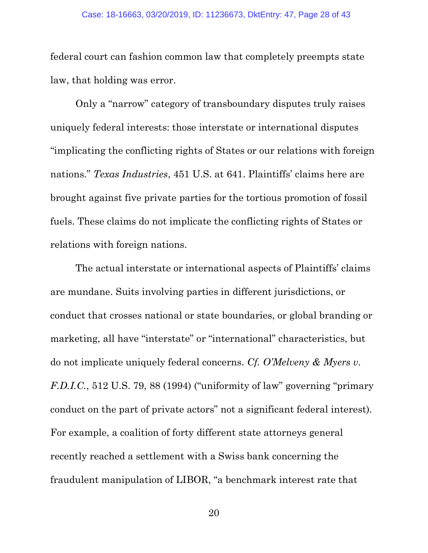federal court can fashion common law that completely preempts state law, that holding was error.

Only a "narrow" category of transboundary disputes truly raises uniquely federal interests: those interstate or international disputes "implicating the conflicting rights of States or our relations with foreign nations." Texas Industries, 451 U.S. at 641. Plaintiffs' claims here are brought against five private parties for the tortious promotion of fossil fuels. These claims do not implicate the conflicting rights of States or relations with foreign nations.

The actual interstate or international aspects of Plaintiffs' claims are mundane. Suits involving parties in different jurisdictions, or conduct that crosses national or state boundaries, or global branding or marketing, all have "interstate" or "international" characteristics, but do not implicate uniquely federal concerns. Cf. O'Melveny & Myers v. F.D.I.C., 512 U.S. 79, 88 (1994) ("uniformity of law" governing "primary conduct on the part of private actors" not a significant federal interest). For example, a coalition of forty different state attorneys general recently reached a settlement with a Swiss bank concerning the fraudulent manipulation of LIBOR, "a benchmark interest rate that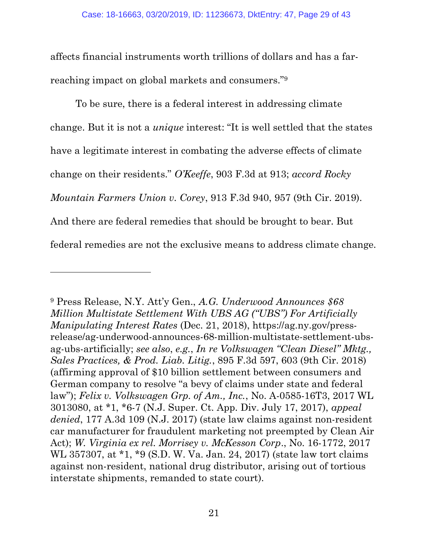affects financial instruments worth trillions of dollars and has a farreaching impact on global markets and consumers."<sup>9</sup>

To be sure, there is a federal interest in addressing climate change. But it is not a unique interest: "It is well settled that the states have a legitimate interest in combating the adverse effects of climate change on their residents." O'Keeffe, 903 F.3d at 913; accord Rocky Mountain Farmers Union v. Corey, 913 F.3d 940, 957 (9th Cir. 2019). And there are federal remedies that should be brought to bear. But federal remedies are not the exclusive means to address climate change.

<sup>9</sup> Press Release, N.Y. Att'y Gen., A.G. Underwood Announces \$68 Million Multistate Settlement With UBS AG ("UBS") For Artificially Manipulating Interest Rates (Dec. 21, 2018), https://ag.ny.gov/pressrelease/ag-underwood-announces-68-million-multistate-settlement-ubsag-ubs-artificially; see also, e.g., In re Volkswagen "Clean Diesel" Mktg., Sales Practices, & Prod. Liab. Litig., 895 F.3d 597, 603 (9th Cir. 2018) (affirming approval of \$10 billion settlement between consumers and German company to resolve "a bevy of claims under state and federal law"); Felix v. Volkswagen Grp. of Am., Inc., No. A-0585-16T3, 2017 WL 3013080, at \*1, \*6-7 (N.J. Super. Ct. App. Div. July 17, 2017), appeal denied, 177 A.3d 109 (N.J. 2017) (state law claims against non-resident car manufacturer for fraudulent marketing not preempted by Clean Air Act); W. Virginia ex rel. Morrisey v. McKesson Corp., No. 16-1772, 2017 WL 357307, at \*1, \*9 (S.D. W. Va. Jan. 24, 2017) (state law tort claims against non-resident, national drug distributor, arising out of tortious interstate shipments, remanded to state court).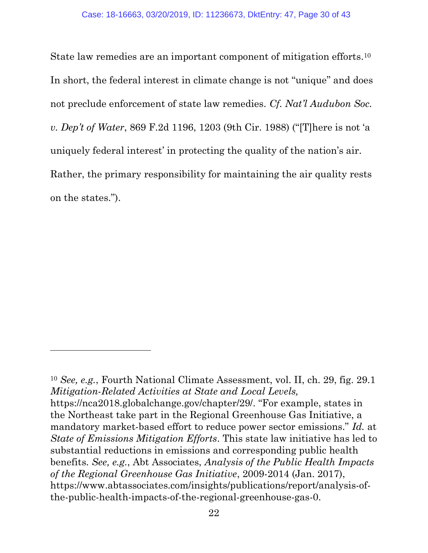State law remedies are an important component of mitigation efforts.<sup>10</sup> In short, the federal interest in climate change is not "unique" and does not preclude enforcement of state law remedies. Cf. Nat'l Audubon Soc. v. Dep't of Water, 869 F.2d 1196, 1203 (9th Cir. 1988) ("[T]here is not 'a uniquely federal interest' in protecting the quality of the nation's air. Rather, the primary responsibility for maintaining the air quality rests on the states.").

<sup>10</sup> See, e.g., Fourth National Climate Assessment, vol. II, ch. 29, fig. 29.1 Mitigation-Related Activities at State and Local Levels, https://nca2018.globalchange.gov/chapter/29/. "For example, states in the Northeast take part in the Regional Greenhouse Gas Initiative, a mandatory market-based effort to reduce power sector emissions." Id. at State of Emissions Mitigation Efforts. This state law initiative has led to substantial reductions in emissions and corresponding public health benefits. See, e.g., Abt Associates, Analysis of the Public Health Impacts of the Regional Greenhouse Gas Initiative, 2009-2014 (Jan. 2017), https://www.abtassociates.com/insights/publications/report/analysis-ofthe-public-health-impacts-of-the-regional-greenhouse-gas-0.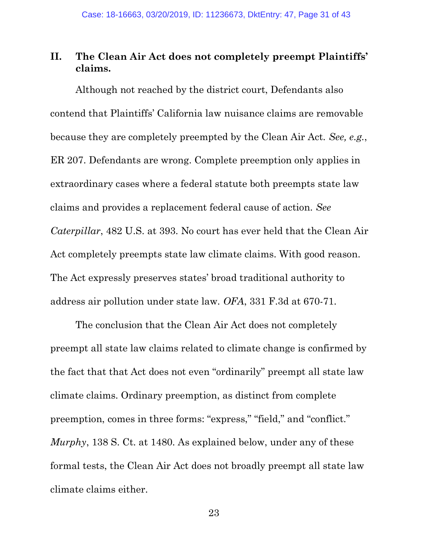# II. The Clean Air Act does not completely preempt Plaintiffs' claims.

Although not reached by the district court, Defendants also contend that Plaintiffs' California law nuisance claims are removable because they are completely preempted by the Clean Air Act. See, e.g., ER 207. Defendants are wrong. Complete preemption only applies in extraordinary cases where a federal statute both preempts state law claims and provides a replacement federal cause of action. See Caterpillar, 482 U.S. at 393. No court has ever held that the Clean Air Act completely preempts state law climate claims. With good reason. The Act expressly preserves states' broad traditional authority to address air pollution under state law. OFA, 331 F.3d at 670-71.

The conclusion that the Clean Air Act does not completely preempt all state law claims related to climate change is confirmed by the fact that that Act does not even "ordinarily" preempt all state law climate claims. Ordinary preemption, as distinct from complete preemption, comes in three forms: "express," "field," and "conflict." Murphy, 138 S. Ct. at 1480. As explained below, under any of these formal tests, the Clean Air Act does not broadly preempt all state law climate claims either.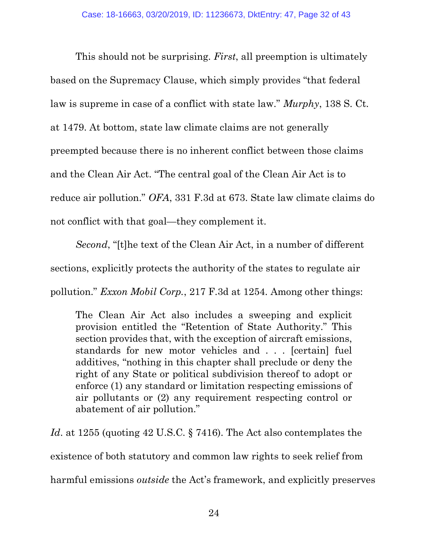This should not be surprising. *First*, all preemption is ultimately based on the Supremacy Clause, which simply provides "that federal law is supreme in case of a conflict with state law." Murphy, 138 S. Ct. at 1479. At bottom, state law climate claims are not generally preempted because there is no inherent conflict between those claims and the Clean Air Act. "The central goal of the Clean Air Act is to reduce air pollution." OFA, 331 F.3d at 673. State law climate claims do not conflict with that goal—they complement it.

Second, "[t]he text of the Clean Air Act, in a number of different sections, explicitly protects the authority of the states to regulate air pollution." Exxon Mobil Corp., 217 F.3d at 1254. Among other things:

The Clean Air Act also includes a sweeping and explicit provision entitled the "Retention of State Authority." This section provides that, with the exception of aircraft emissions, standards for new motor vehicles and . . . [certain] fuel additives, "nothing in this chapter shall preclude or deny the right of any State or political subdivision thereof to adopt or enforce (1) any standard or limitation respecting emissions of air pollutants or (2) any requirement respecting control or abatement of air pollution."

Id. at 1255 (quoting 42 U.S.C. § 7416). The Act also contemplates the existence of both statutory and common law rights to seek relief from harmful emissions outside the Act's framework, and explicitly preserves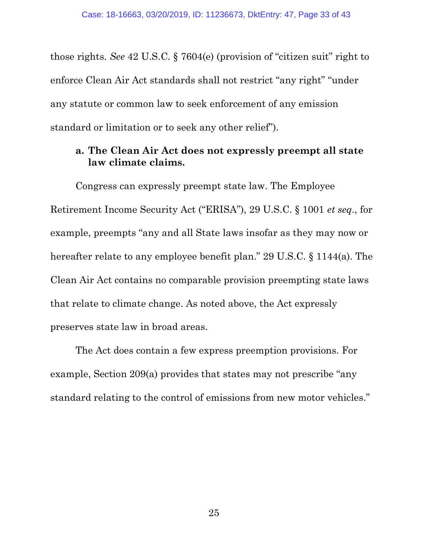those rights. See 42 U.S.C. § 7604(e) (provision of "citizen suit" right to enforce Clean Air Act standards shall not restrict "any right" "under any statute or common law to seek enforcement of any emission standard or limitation or to seek any other relief").

# a. The Clean Air Act does not expressly preempt all state law climate claims.

Congress can expressly preempt state law. The Employee Retirement Income Security Act ("ERISA"), 29 U.S.C. § 1001 et seq., for example, preempts "any and all State laws insofar as they may now or hereafter relate to any employee benefit plan." 29 U.S.C. § 1144(a). The Clean Air Act contains no comparable provision preempting state laws that relate to climate change. As noted above, the Act expressly preserves state law in broad areas.

The Act does contain a few express preemption provisions. For example, Section 209(a) provides that states may not prescribe "any standard relating to the control of emissions from new motor vehicles."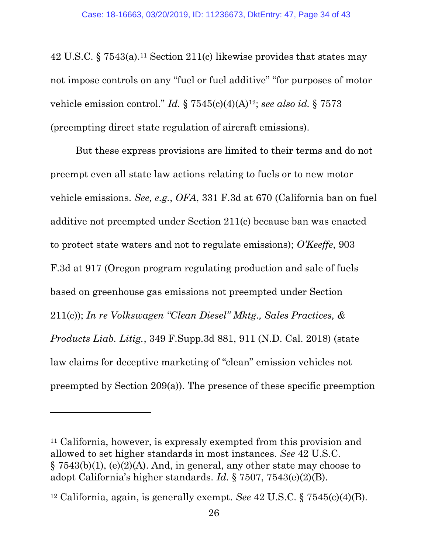42 U.S.C. § 7543(a).11 Section 211(c) likewise provides that states may not impose controls on any "fuel or fuel additive" "for purposes of motor vehicle emission control." Id.  $\S 7545(c)(4)(A)^{12}$ ; see also id.  $\S 7573$ (preempting direct state regulation of aircraft emissions).

But these express provisions are limited to their terms and do not preempt even all state law actions relating to fuels or to new motor vehicle emissions. See, e.g., OFA, 331 F.3d at 670 (California ban on fuel additive not preempted under Section 211(c) because ban was enacted to protect state waters and not to regulate emissions); O'Keeffe, 903 F.3d at 917 (Oregon program regulating production and sale of fuels based on greenhouse gas emissions not preempted under Section 211(c)); In re Volkswagen "Clean Diesel" Mktg., Sales Practices, & Products Liab. Litig., 349 F.Supp.3d 881, 911 (N.D. Cal. 2018) (state law claims for deceptive marketing of "clean" emission vehicles not preempted by Section 209(a)). The presence of these specific preemption

-

<sup>11</sup> California, however, is expressly exempted from this provision and allowed to set higher standards in most instances. See 42 U.S.C.  $\S 7543(b)(1)$ , (e)(2)(A). And, in general, any other state may choose to adopt California's higher standards. Id. § 7507, 7543(e)(2)(B).

<sup>&</sup>lt;sup>12</sup> California, again, is generally exempt. See  $42$  U.S.C.  $\S 7545(c)(4)(B)$ .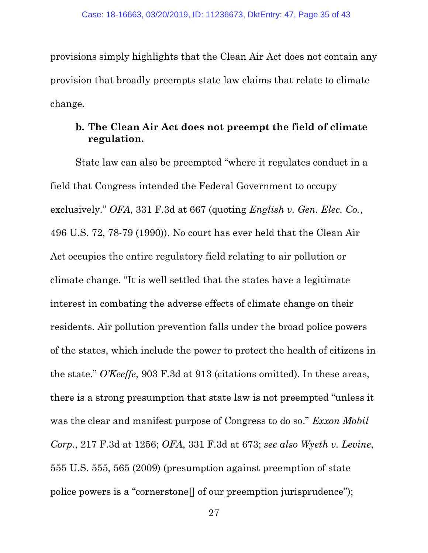provisions simply highlights that the Clean Air Act does not contain any provision that broadly preempts state law claims that relate to climate change.

# b. The Clean Air Act does not preempt the field of climate regulation.

State law can also be preempted "where it regulates conduct in a field that Congress intended the Federal Government to occupy exclusively." OFA, 331 F.3d at 667 (quoting English v. Gen. Elec. Co., 496 U.S. 72, 78-79 (1990)). No court has ever held that the Clean Air Act occupies the entire regulatory field relating to air pollution or climate change. "It is well settled that the states have a legitimate interest in combating the adverse effects of climate change on their residents. Air pollution prevention falls under the broad police powers of the states, which include the power to protect the health of citizens in the state." O'Keeffe, 903 F.3d at 913 (citations omitted). In these areas, there is a strong presumption that state law is not preempted "unless it was the clear and manifest purpose of Congress to do so." Exxon Mobil Corp., 217 F.3d at 1256; OFA, 331 F.3d at 673; see also Wyeth v. Levine, 555 U.S. 555, 565 (2009) (presumption against preemption of state police powers is a "cornerstone[] of our preemption jurisprudence");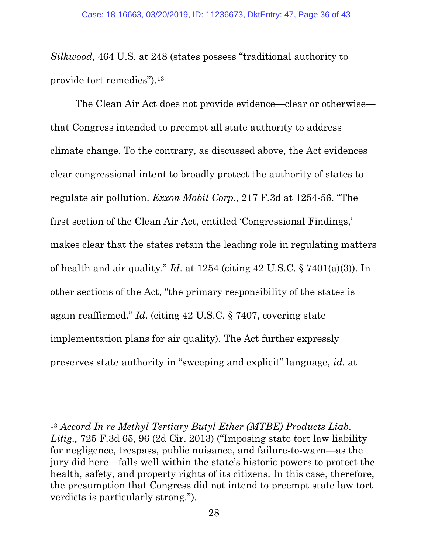Silkwood, 464 U.S. at 248 (states possess "traditional authority to provide tort remedies").<sup>13</sup>

The Clean Air Act does not provide evidence—clear or otherwise that Congress intended to preempt all state authority to address climate change. To the contrary, as discussed above, the Act evidences clear congressional intent to broadly protect the authority of states to regulate air pollution. Exxon Mobil Corp., 217 F.3d at 1254-56. "The first section of the Clean Air Act, entitled 'Congressional Findings,' makes clear that the states retain the leading role in regulating matters of health and air quality." Id. at  $1254$  (citing  $42 \text{ U.S.C.}$  §  $7401(a)(3)$ ). In other sections of the Act, "the primary responsibility of the states is again reaffirmed." Id. (citing 42 U.S.C. § 7407, covering state implementation plans for air quality). The Act further expressly preserves state authority in "sweeping and explicit" language, id. at

<sup>13</sup> Accord In re Methyl Tertiary Butyl Ether (MTBE) Products Liab. Litig., 725 F.3d 65, 96 (2d Cir. 2013) ("Imposing state tort law liability for negligence, trespass, public nuisance, and failure-to-warn—as the jury did here—falls well within the state's historic powers to protect the health, safety, and property rights of its citizens. In this case, therefore, the presumption that Congress did not intend to preempt state law tort verdicts is particularly strong.").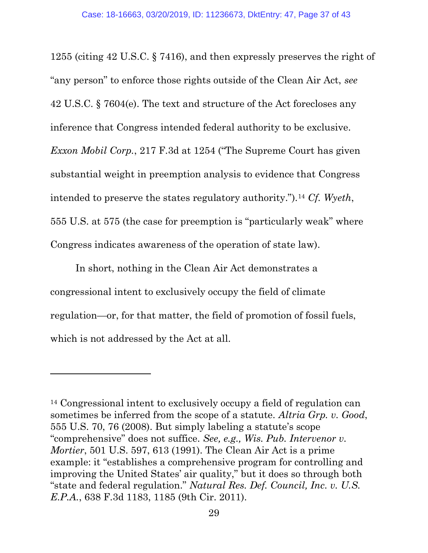1255 (citing 42 U.S.C. § 7416), and then expressly preserves the right of "any person" to enforce those rights outside of the Clean Air Act, see 42 U.S.C. § 7604(e). The text and structure of the Act forecloses any inference that Congress intended federal authority to be exclusive. Exxon Mobil Corp., 217 F.3d at 1254 ("The Supreme Court has given substantial weight in preemption analysis to evidence that Congress intended to preserve the states regulatory authority.").<sup>14</sup> Cf. Wyeth, 555 U.S. at 575 (the case for preemption is "particularly weak" where Congress indicates awareness of the operation of state law).

In short, nothing in the Clean Air Act demonstrates a congressional intent to exclusively occupy the field of climate regulation—or, for that matter, the field of promotion of fossil fuels, which is not addressed by the Act at all.

<sup>14</sup> Congressional intent to exclusively occupy a field of regulation can sometimes be inferred from the scope of a statute. Altria Grp. v. Good, 555 U.S. 70, 76 (2008). But simply labeling a statute's scope "comprehensive" does not suffice. See, e.g., Wis. Pub. Intervenor v. Mortier, 501 U.S. 597, 613 (1991). The Clean Air Act is a prime example: it "establishes a comprehensive program for controlling and improving the United States' air quality," but it does so through both "state and federal regulation." Natural Res. Def. Council, Inc. v. U.S. E.P.A., 638 F.3d 1183, 1185 (9th Cir. 2011).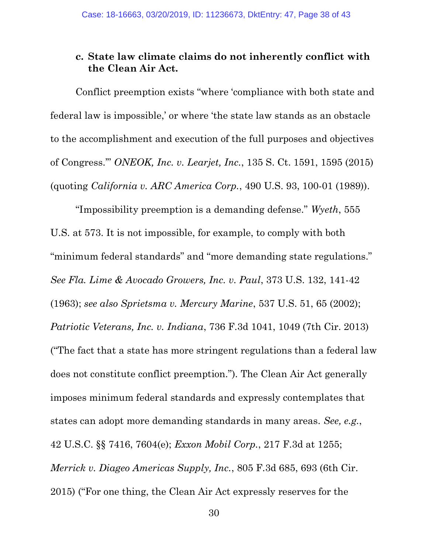### c. State law climate claims do not inherently conflict with the Clean Air Act.

Conflict preemption exists "where 'compliance with both state and federal law is impossible,' or where 'the state law stands as an obstacle to the accomplishment and execution of the full purposes and objectives of Congress.'" ONEOK, Inc. v. Learjet, Inc., 135 S. Ct. 1591, 1595 (2015) (quoting California v. ARC America Corp., 490 U.S. 93, 100-01 (1989)).

"Impossibility preemption is a demanding defense." Wyeth, 555 U.S. at 573. It is not impossible, for example, to comply with both "minimum federal standards" and "more demanding state regulations." See Fla. Lime & Avocado Growers, Inc. v. Paul, 373 U.S. 132, 141-42 (1963); see also Sprietsma v. Mercury Marine, 537 U.S. 51, 65 (2002); Patriotic Veterans, Inc. v. Indiana, 736 F.3d 1041, 1049 (7th Cir. 2013) ("The fact that a state has more stringent regulations than a federal law does not constitute conflict preemption."). The Clean Air Act generally imposes minimum federal standards and expressly contemplates that states can adopt more demanding standards in many areas. See, e.g., 42 U.S.C. §§ 7416, 7604(e); Exxon Mobil Corp., 217 F.3d at 1255; Merrick v. Diageo Americas Supply, Inc., 805 F.3d 685, 693 (6th Cir. 2015) ("For one thing, the Clean Air Act expressly reserves for the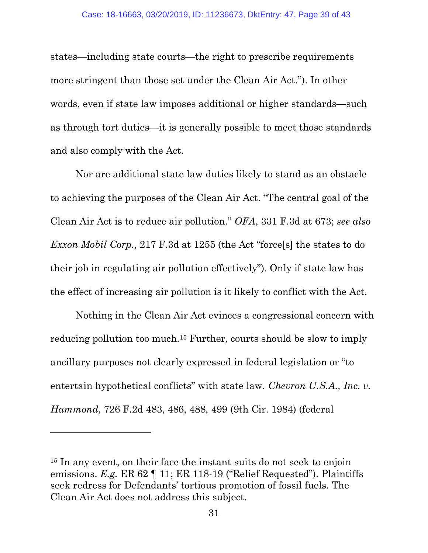states—including state courts—the right to prescribe requirements more stringent than those set under the Clean Air Act."). In other words, even if state law imposes additional or higher standards—such as through tort duties—it is generally possible to meet those standards and also comply with the Act.

Nor are additional state law duties likely to stand as an obstacle to achieving the purposes of the Clean Air Act. "The central goal of the Clean Air Act is to reduce air pollution." OFA, 331 F.3d at 673; see also Exxon Mobil Corp., 217 F.3d at 1255 (the Act "force[s] the states to do their job in regulating air pollution effectively"). Only if state law has the effect of increasing air pollution is it likely to conflict with the Act.

Nothing in the Clean Air Act evinces a congressional concern with reducing pollution too much.15 Further, courts should be slow to imply ancillary purposes not clearly expressed in federal legislation or "to entertain hypothetical conflicts" with state law. Chevron U.S.A., Inc. v. Hammond, 726 F.2d 483, 486, 488, 499 (9th Cir. 1984) (federal

<sup>15</sup> In any event, on their face the instant suits do not seek to enjoin emissions. E.g. ER 62 | 11; ER 118-19 ("Relief Requested"). Plaintiffs seek redress for Defendants' tortious promotion of fossil fuels. The Clean Air Act does not address this subject.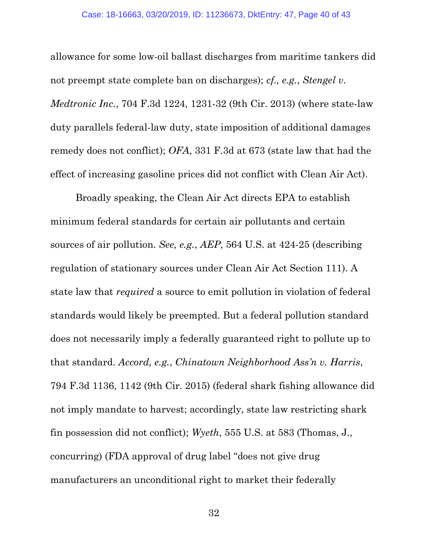allowance for some low-oil ballast discharges from maritime tankers did not preempt state complete ban on discharges); cf., e.g., Stengel v. Medtronic Inc., 704 F.3d 1224, 1231-32 (9th Cir. 2013) (where state-law duty parallels federal-law duty, state imposition of additional damages remedy does not conflict); OFA, 331 F.3d at 673 (state law that had the effect of increasing gasoline prices did not conflict with Clean Air Act).

Broadly speaking, the Clean Air Act directs EPA to establish minimum federal standards for certain air pollutants and certain sources of air pollution. See, e.g., AEP, 564 U.S. at 424-25 (describing regulation of stationary sources under Clean Air Act Section 111). A state law that required a source to emit pollution in violation of federal standards would likely be preempted. But a federal pollution standard does not necessarily imply a federally guaranteed right to pollute up to that standard. Accord, e.g., Chinatown Neighborhood Ass'n v. Harris, 794 F.3d 1136, 1142 (9th Cir. 2015) (federal shark fishing allowance did not imply mandate to harvest; accordingly, state law restricting shark fin possession did not conflict); Wyeth, 555 U.S. at 583 (Thomas, J., concurring) (FDA approval of drug label "does not give drug manufacturers an unconditional right to market their federally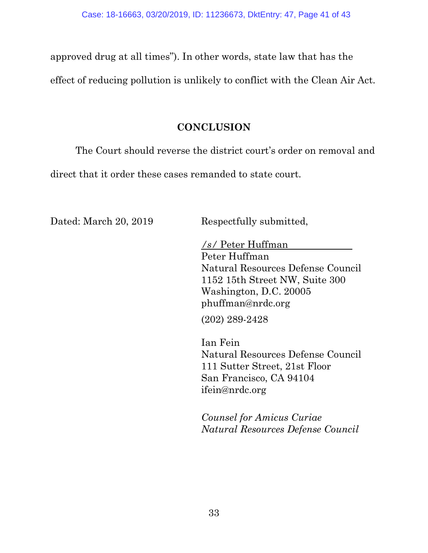approved drug at all times"). In other words, state law that has the effect of reducing pollution is unlikely to conflict with the Clean Air Act.

# **CONCLUSION**

The Court should reverse the district court's order on removal and

direct that it order these cases remanded to state court.

Dated: March 20, 2019 Respectfully submitted,

/s/ Peter Huffman Peter Huffman Natural Resources Defense Council 1152 15th Street NW, Suite 300 Washington, D.C. 20005 phuffman@nrdc.org

(202) 289-2428

Ian Fein Natural Resources Defense Council 111 Sutter Street, 21st Floor San Francisco, CA 94104 ifein@nrdc.org

Counsel for Amicus Curiae Natural Resources Defense Council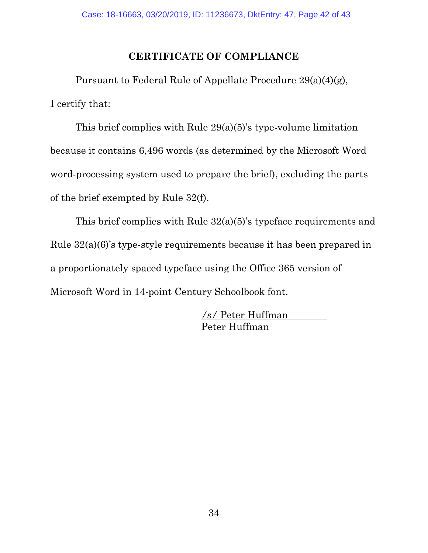# CERTIFICATE OF COMPLIANCE

Pursuant to Federal Rule of Appellate Procedure 29(a)(4)(g), I certify that:

This brief complies with Rule 29(a)(5)'s type-volume limitation because it contains 6,496 words (as determined by the Microsoft Word word-processing system used to prepare the brief), excluding the parts of the brief exempted by Rule 32(f).

This brief complies with Rule 32(a)(5)'s typeface requirements and Rule 32(a)(6)'s type-style requirements because it has been prepared in a proportionately spaced typeface using the Office 365 version of Microsoft Word in 14-point Century Schoolbook font.

> /s/ Peter Huffman Peter Huffman